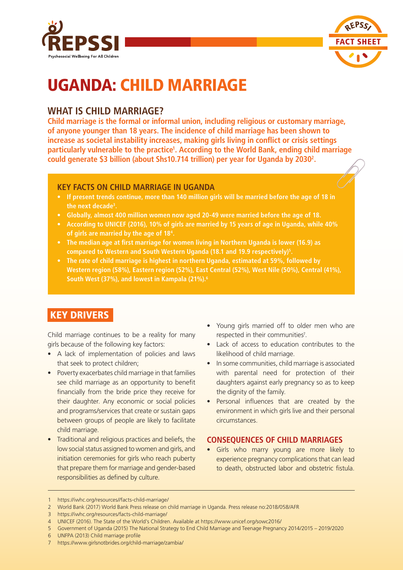



# UGANDA: CHILD MARRIAGE

## **WHAT IS CHILD MARRIAGE?**

**Child marriage is the formal or informal union, including religious or customary marriage, of anyone younger than 18 years. The incidence of child marriage has been shown to increase as societal instability increases, making girls living in conflict or crisis settings**  particularly vulnerable to the practice<sup>1</sup>. According to the World Bank, ending child marriage **could generate \$3 billion (about Shs10.714 trillion) per year for Uganda by 20302 .**

## **KEY FACTS ON CHILD MARRIAGE IN UGANDA**

- **• If present trends continue, more than 140 million girls will be married before the age of 18 in the next decade3 .**
- **• Globally, almost 400 million women now aged 20-49 were married before the age of 18.**
- **• According to UNICEF (2016), 10% of girls are married by 15 years of age in Uganda, while 40% of girls are married by the age of 184 .**
- **• The median age at first marriage for women living in Northern Uganda is lower (16.9) as compared to Western and South Western Uganda (18.1 and 19.9 respectively)5 .**
- **• The rate of child marriage is highest in northern Uganda, estimated at 59%, followed by Western region (58%), Eastern region (52%), East Central (52%), West Nile (50%), Central (41%), South West (37%), and lowest in Kampala (21%).6**

## KEY DRIVERS

Child marriage continues to be a reality for many girls because of the following key factors:

- A lack of implementation of policies and laws that seek to protect children;
- Poverty exacerbates child marriage in that families see child marriage as an opportunity to benefit financially from the bride price they receive for their daughter. Any economic or social policies and programs/services that create or sustain gaps between groups of people are likely to facilitate child marriage.
- Traditional and religious practices and beliefs, the low social status assigned to women and girls, and initiation ceremonies for girls who reach puberty that prepare them for marriage and gender-based responsibilities as defined by culture.
- Young girls married off to older men who are respected in their communities<sup>7</sup>.
- Lack of access to education contributes to the likelihood of child marriage.
- In some communities, child marriage is associated with parental need for protection of their daughters against early pregnancy so as to keep the dignity of the family.
- Personal influences that are created by the environment in which girls live and their personal circumstances.

### **CONSEQUENCES OF CHILD MARRIAGES**

Girls who marry young are more likely to experience pregnancy complications that can lead to death, obstructed labor and obstetric fistula.

<sup>1</sup> https://iwhc.org/resources//facts-child-marriage/

<sup>2</sup> World Bank (2017) World Bank Press release on child marriage in Uganda. Press release no:2018/058/AFR

<sup>3</sup> https://iwhc.org/resources/facts-child-marriage/

<sup>4</sup> UNICEF (2016). The State of the World's Children. Available at https://www.unicef.org/sowc2016/

<sup>5</sup> Government of Uganda (2015) The National Strategy to End Child Marriage and Teenage Pregnancy 2014/2015 – 2019/2020

<sup>6</sup> UNFPA (2013) Child marriage profile

<sup>7</sup> https://www.girlsnotbrides.org/child-marriage/zambia/